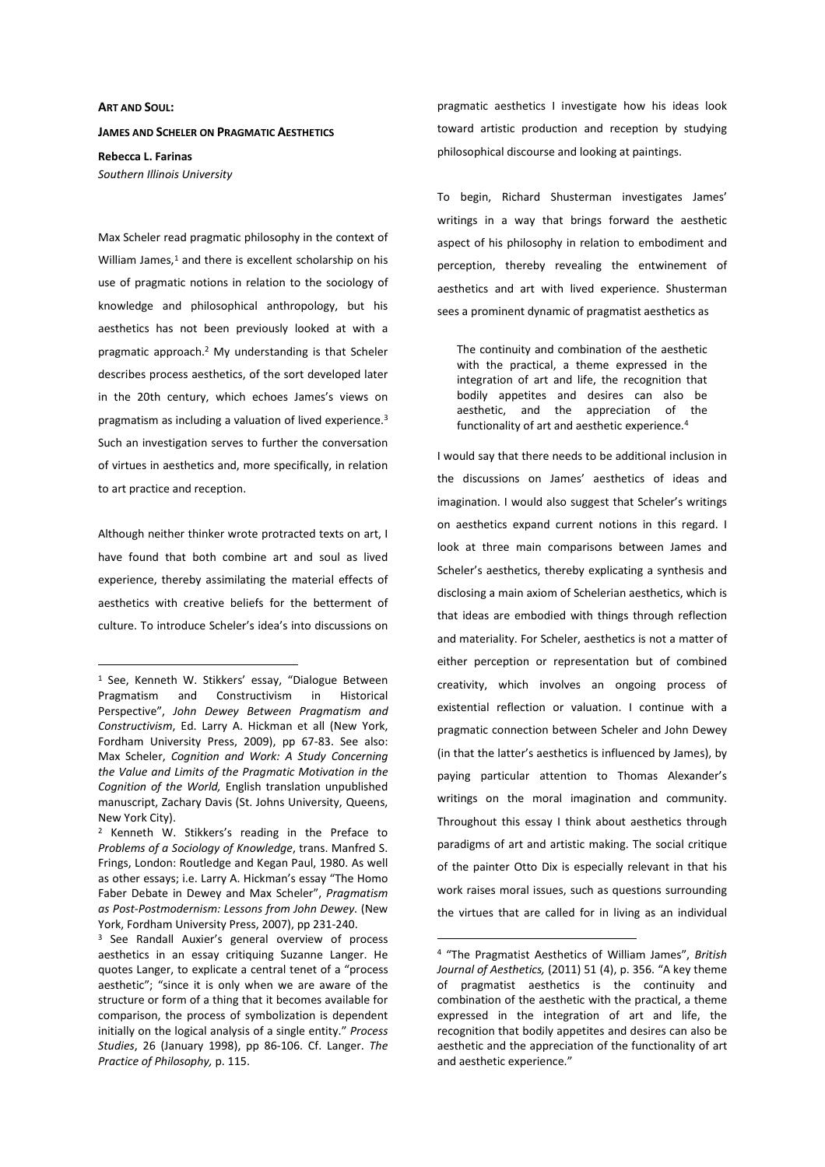## **ART AND SOUL:**

 $\overline{a}$ 

## **JAMES AND SCHELER ON PRAGMATIC AESTHETICS**

**Rebecca L. Farinas**  *Southern Illinois University* 

Max Scheler read pragmatic philosophy in the context of William James, $1$  and there is excellent scholarship on his use of pragmatic notions in relation to the sociology of knowledge and philosophical anthropology, but his aesthetics has not been previously looked at with a pragmatic approach.<sup>2</sup> My understanding is that Scheler describes process aesthetics, of the sort developed later in the 20th century, which echoes James's views on pragmatism as including a valuation of lived experience.<sup>3</sup> Such an investigation serves to further the conversation of virtues in aesthetics and, more specifically, in relation to art practice and reception.

Although neither thinker wrote protracted texts on art, I have found that both combine art and soul as lived experience, thereby assimilating the material effects of aesthetics with creative beliefs for the betterment of culture. To introduce Scheler's idea's into discussions on

pragmatic aesthetics I investigate how his ideas look toward artistic production and reception by studying philosophical discourse and looking at paintings.

To begin, Richard Shusterman investigates James' writings in a way that brings forward the aesthetic aspect of his philosophy in relation to embodiment and perception, thereby revealing the entwinement of aesthetics and art with lived experience. Shusterman sees a prominent dynamic of pragmatist aesthetics as

The continuity and combination of the aesthetic with the practical, a theme expressed in the integration of art and life, the recognition that bodily appetites and desires can also be aesthetic, and the appreciation of the functionality of art and aesthetic experience.<sup>4</sup>

I would say that there needs to be additional inclusion in the discussions on James' aesthetics of ideas and imagination. I would also suggest that Scheler's writings on aesthetics expand current notions in this regard. I look at three main comparisons between James and Scheler's aesthetics, thereby explicating a synthesis and disclosing a main axiom of Schelerian aesthetics, which is that ideas are embodied with things through reflection and materiality. For Scheler, aesthetics is not a matter of either perception or representation but of combined creativity, which involves an ongoing process of existential reflection or valuation. I continue with a pragmatic connection between Scheler and John Dewey (in that the latter's aesthetics is influenced by James), by paying particular attention to Thomas Alexander's writings on the moral imagination and community. Throughout this essay I think about aesthetics through paradigms of art and artistic making. The social critique of the painter Otto Dix is especially relevant in that his work raises moral issues, such as questions surrounding the virtues that are called for in living as an individual

<sup>&</sup>lt;sup>1</sup> See, Kenneth W. Stikkers' essay, "Dialogue Between Pragmatism and Constructivism in Historical Perspective", *John Dewey Between Pragmatism and Constructivism*, Ed. Larry A. Hickman et all (New York, Fordham University Press, 2009), pp 67-83. See also: Max Scheler, *Cognition and Work: A Study Concerning the Value and Limits of the Pragmatic Motivation in the Cognition of the World,* English translation unpublished manuscript, Zachary Davis (St. Johns University, Queens, New York City).

<sup>&</sup>lt;sup>2</sup> Kenneth W. Stikkers's reading in the Preface to *Problems of a Sociology of Knowledge*, trans. Manfred S. Frings, London: Routledge and Kegan Paul, 1980. As well as other essays; i.e. Larry A. Hickman's essay "The Homo Faber Debate in Dewey and Max Scheler", *Pragmatism as Post-Postmodernism: Lessons from John Dewey.* (New York, Fordham University Press, 2007), pp 231-240.

<sup>&</sup>lt;sup>3</sup> See Randall Auxier's general overview of process aesthetics in an essay critiquing Suzanne Langer. He quotes Langer, to explicate a central tenet of a "process aesthetic"; "since it is only when we are aware of the structure or form of a thing that it becomes available for comparison, the process of symbolization is dependent initially on the logical analysis of a single entity." *Process Studies*, 26 (January 1998), pp 86-106. Cf. Langer. *The Practice of Philosophy,* p. 115.

<sup>4</sup> "The Pragmatist Aesthetics of William James", *British Journal of Aesthetics,* (2011) 51 (4), p. 356. "A key theme of pragmatist aesthetics is the continuity and combination of the aesthetic with the practical, a theme expressed in the integration of art and life, the recognition that bodily appetites and desires can also be aesthetic and the appreciation of the functionality of art and aesthetic experience."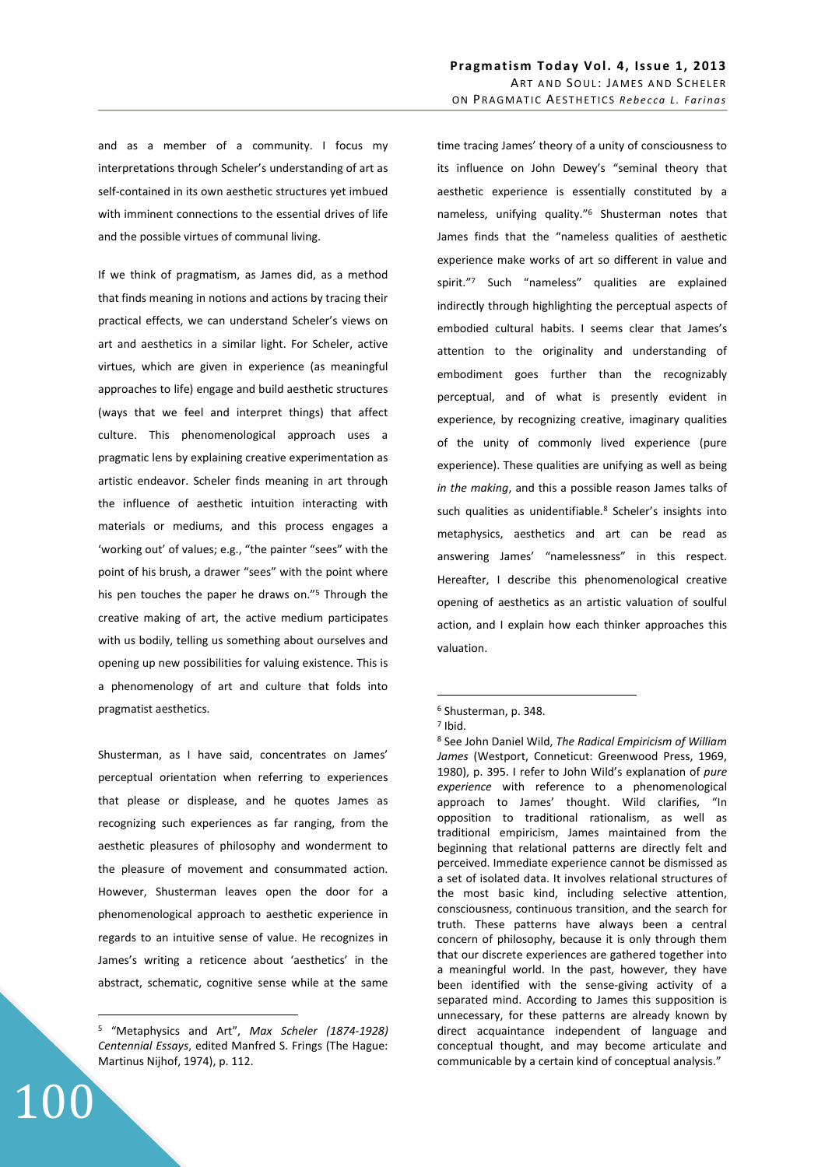and as a member of a community. I focus my interpretations through Scheler's understanding of art as self-contained in its own aesthetic structures yet imbued with imminent connections to the essential drives of life and the possible virtues of communal living.

If we think of pragmatism, as James did, as a method that finds meaning in notions and actions by tracing their practical effects, we can understand Scheler's views on art and aesthetics in a similar light. For Scheler, active virtues, which are given in experience (as meaningful approaches to life) engage and build aesthetic structures (ways that we feel and interpret things) that affect culture. This phenomenological approach uses a pragmatic lens by explaining creative experimentation as artistic endeavor. Scheler finds meaning in art through the influence of aesthetic intuition interacting with materials or mediums, and this process engages a 'working out' of values; e.g., "the painter "sees" with the point of his brush, a drawer "sees" with the point where his pen touches the paper he draws on."<sup>5</sup> Through the creative making of art, the active medium participates with us bodily, telling us something about ourselves and opening up new possibilities for valuing existence. This is a phenomenology of art and culture that folds into pragmatist aesthetics.

Shusterman, as I have said, concentrates on James' perceptual orientation when referring to experiences that please or displease, and he quotes James as recognizing such experiences as far ranging, from the aesthetic pleasures of philosophy and wonderment to the pleasure of movement and consummated action. However, Shusterman leaves open the door for a phenomenological approach to aesthetic experience in regards to an intuitive sense of value. He recognizes in James's writing a reticence about 'aesthetics' in the abstract, schematic, cognitive sense while at the same

100

 $\overline{a}$ 

time tracing James' theory of a unity of consciousness to its influence on John Dewey's "seminal theory that aesthetic experience is essentially constituted by a nameless, unifying quality."<sup>6</sup> Shusterman notes that James finds that the "nameless qualities of aesthetic experience make works of art so different in value and spirit."<sup>7</sup> Such "nameless" qualities are explained indirectly through highlighting the perceptual aspects of embodied cultural habits. I seems clear that James's attention to the originality and understanding of embodiment goes further than the recognizably perceptual, and of what is presently evident in experience, by recognizing creative, imaginary qualities of the unity of commonly lived experience (pure experience). These qualities are unifying as well as being *in the making*, and this a possible reason James talks of such qualities as unidentifiable.<sup>8</sup> Scheler's insights into metaphysics, aesthetics and art can be read as answering James' "namelessness" in this respect. Hereafter, I describe this phenomenological creative opening of aesthetics as an artistic valuation of soulful action, and I explain how each thinker approaches this valuation.

<sup>5</sup> "Metaphysics and Art", *Max Scheler (1874-1928) Centennial Essays*, edited Manfred S. Frings (The Hague: Martinus Nijhof, 1974), p. 112.

<sup>6</sup> Shusterman, p. 348.

<sup>7</sup> Ibid.

<sup>8</sup> See John Daniel Wild, *The Radical Empiricism of William James* (Westport, Conneticut: Greenwood Press, 1969, 1980), p. 395. I refer to John Wild's explanation of *pure experience* with reference to a phenomenological approach to James' thought. Wild clarifies, "In opposition to traditional rationalism, as well as traditional empiricism, James maintained from the beginning that relational patterns are directly felt and perceived. Immediate experience cannot be dismissed as a set of isolated data. It involves relational structures of the most basic kind, including selective attention, consciousness, continuous transition, and the search for truth. These patterns have always been a central concern of philosophy, because it is only through them that our discrete experiences are gathered together into a meaningful world. In the past, however, they have been identified with the sense-giving activity of a separated mind. According to James this supposition is unnecessary, for these patterns are already known by direct acquaintance independent of language and conceptual thought, and may become articulate and communicable by a certain kind of conceptual analysis."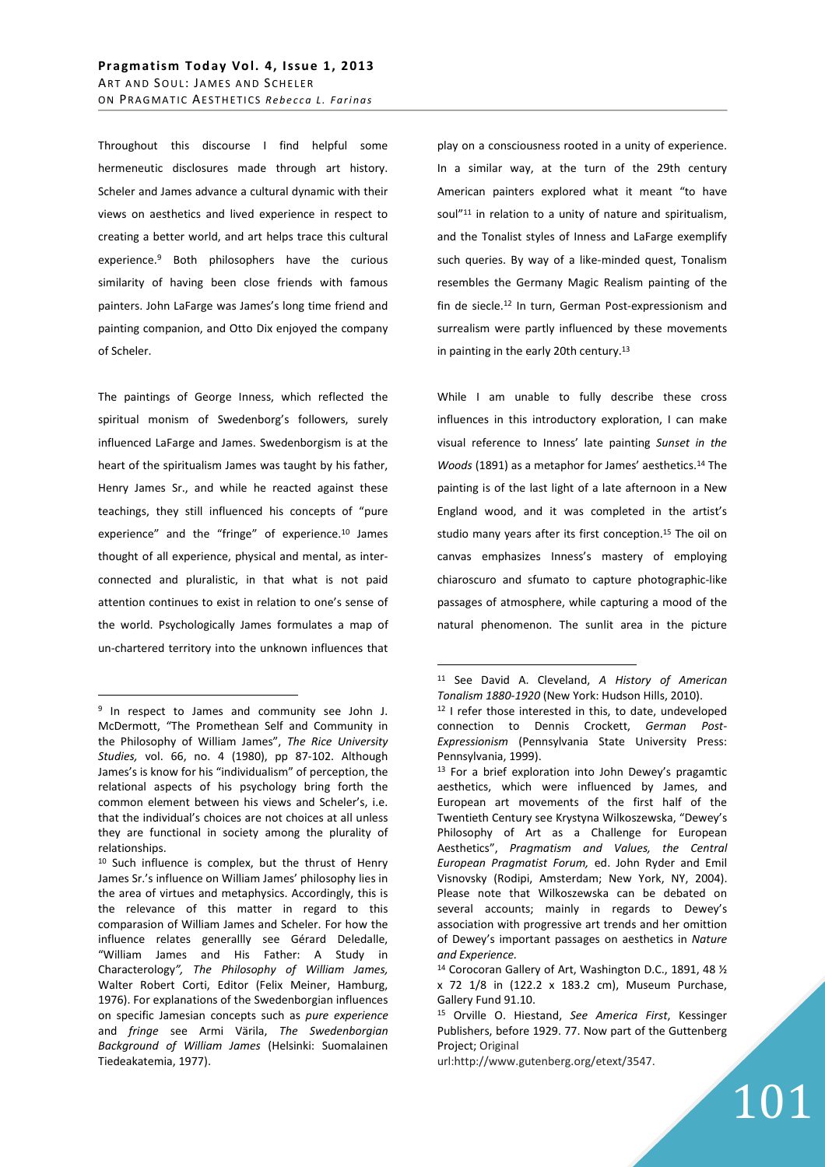Throughout this discourse I find helpful some hermeneutic disclosures made through art history. Scheler and James advance a cultural dynamic with their views on aesthetics and lived experience in respect to creating a better world, and art helps trace this cultural experience.<sup>9</sup> Both philosophers have the curious similarity of having been close friends with famous painters. John LaFarge was James's long time friend and painting companion, and Otto Dix enjoyed the company of Scheler.

The paintings of George Inness, which reflected the spiritual monism of Swedenborg's followers, surely influenced LaFarge and James. Swedenborgism is at the heart of the spiritualism James was taught by his father, Henry James Sr., and while he reacted against these teachings, they still influenced his concepts of "pure experience" and the "fringe" of experience.<sup>10</sup> James thought of all experience, physical and mental, as interconnected and pluralistic, in that what is not paid attention continues to exist in relation to one's sense of the world. Psychologically James formulates a map of un-chartered territory into the unknown influences that

 $\overline{a}$ 

play on a consciousness rooted in a unity of experience. In a similar way, at the turn of the 29th century American painters explored what it meant "to have soul"<sup>11</sup> in relation to a unity of nature and spiritualism, and the Tonalist styles of Inness and LaFarge exemplify such queries. By way of a like-minded quest, Tonalism resembles the Germany Magic Realism painting of the fin de siecle.<sup>12</sup> In turn, German Post-expressionism and surrealism were partly influenced by these movements in painting in the early 20th century.<sup>13</sup>

While I am unable to fully describe these cross influences in this introductory exploration, I can make visual reference to Inness' late painting *Sunset in the Woods* (1891) as a metaphor for James' aesthetics.<sup>14</sup> The painting is of the last light of a late afternoon in a New England wood, and it was completed in the artist's studio many years after its first conception.<sup>15</sup> The oil on canvas emphasizes Inness's mastery of employing chiaroscuro and sfumato to capture photographic-like passages of atmosphere, while capturing a mood of the natural phenomenon. The sunlit area in the picture

<sup>&</sup>lt;sup>9</sup> In respect to James and community see John J. McDermott, "The Promethean Self and Community in the Philosophy of William James", *The Rice University Studies,* vol. 66, no. 4 (1980), pp 87-102. Although James's is know for his "individualism" of perception, the relational aspects of his psychology bring forth the common element between his views and Scheler's, i.e. that the individual's choices are not choices at all unless they are functional in society among the plurality of relationships.

<sup>10</sup> Such influence is complex, but the thrust of Henry James Sr.'s influence on William James' philosophy lies in the area of virtues and metaphysics. Accordingly, this is the relevance of this matter in regard to this comparasion of William James and Scheler. For how the influence relates generallly see Gérard Deledalle, "William James and His Father: A Study in Characterology*", The Philosophy of William James,*  Walter Robert Corti, Editor (Felix Meiner, Hamburg, 1976). For explanations of the Swedenborgian influences on specific Jamesian concepts such as *pure experience* and *fringe* see Armi Värila, *The Swedenborgian Background of William James* (Helsinki: Suomalainen Tiedeakatemia, 1977).

<sup>11</sup> See David A. Cleveland, *A History of American Tonalism 1880-1920* (New York: Hudson Hills, 2010).

<sup>12</sup> I refer those interested in this, to date, undeveloped connection to Dennis Crockett, *German Post-Expressionism* (Pennsylvania State University Press: Pennsylvania, 1999).

<sup>13</sup> For a brief exploration into John Dewey's pragamtic aesthetics, which were influenced by James, and European art movements of the first half of the Twentieth Century see Krystyna Wilkoszewska, "Dewey's Philosophy of Art as a Challenge for European Aesthetics", *Pragmatism and Values, the Central European Pragmatist Forum,* ed. John Ryder and Emil Visnovsky (Rodipi, Amsterdam; New York, NY, 2004). Please note that Wilkoszewska can be debated on several accounts; mainly in regards to Dewey's association with progressive art trends and her omittion of Dewey's important passages on aesthetics in *Nature and Experience.* 

<sup>14</sup> Corocoran Gallery of Art, Washington D.C., 1891, 48 ½ x 72 1/8 in (122.2 x 183.2 cm), Museum Purchase, Gallery Fund 91.10.

<sup>15</sup> Orville O. Hiestand, *See America First*, Kessinger Publishers, before 1929. 77. Now part of the Guttenberg Project; Original

url:http://www.gutenberg.org/etext/3547.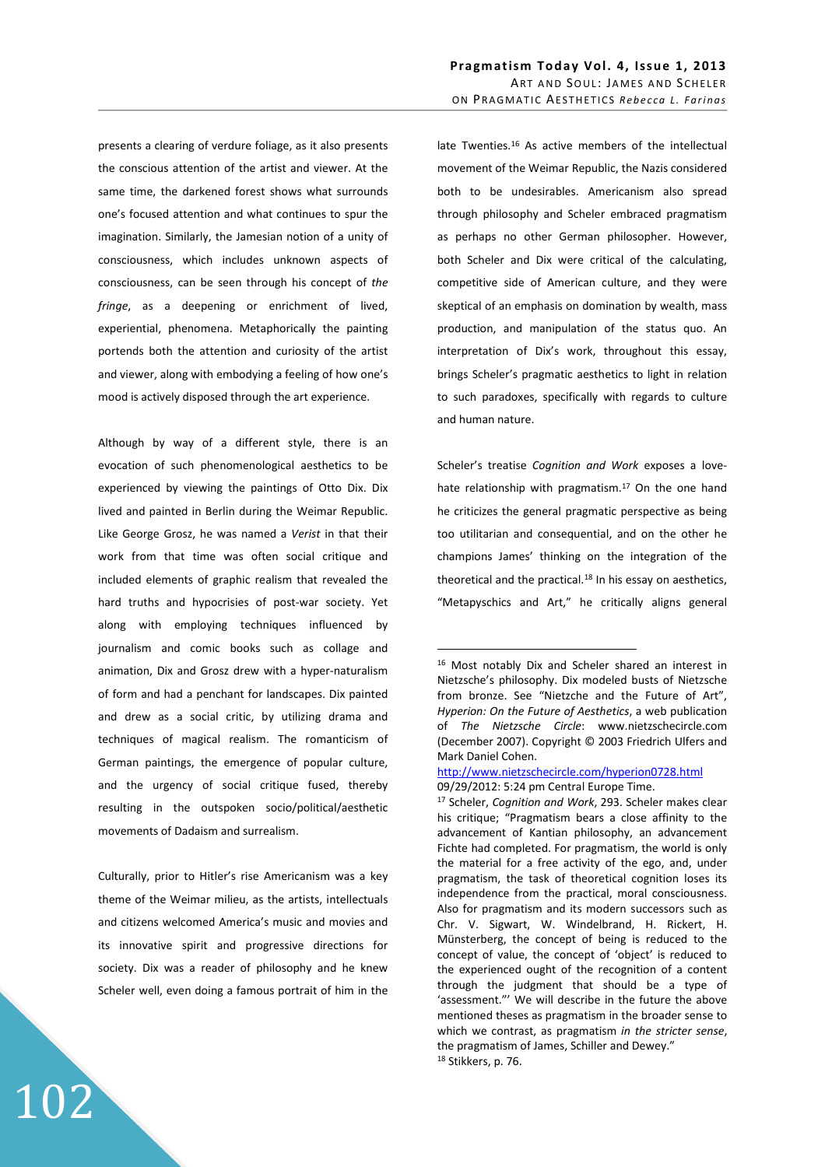presents a clearing of verdure foliage, as it also presents the conscious attention of the artist and viewer. At the same time, the darkened forest shows what surrounds one's focused attention and what continues to spur the imagination. Similarly, the Jamesian notion of a unity of consciousness, which includes unknown aspects of consciousness, can be seen through his concept of *the fringe*, as a deepening or enrichment of lived, experiential, phenomena. Metaphorically the painting portends both the attention and curiosity of the artist and viewer, along with embodying a feeling of how one's mood is actively disposed through the art experience.

Although by way of a different style, there is an evocation of such phenomenological aesthetics to be experienced by viewing the paintings of Otto Dix. Dix lived and painted in Berlin during the Weimar Republic. Like George Grosz, he was named a *Verist* in that their work from that time was often social critique and included elements of graphic realism that revealed the hard truths and hypocrisies of post-war society. Yet along with employing techniques influenced by journalism and comic books such as collage and animation, Dix and Grosz drew with a hyper-naturalism of form and had a penchant for landscapes. Dix painted and drew as a social critic, by utilizing drama and techniques of magical realism. The romanticism of German paintings, the emergence of popular culture, and the urgency of social critique fused, thereby resulting in the outspoken socio/political/aesthetic movements of Dadaism and surrealism.

Culturally, prior to Hitler's rise Americanism was a key theme of the Weimar milieu, as the artists, intellectuals and citizens welcomed America's music and movies and its innovative spirit and progressive directions for society. Dix was a reader of philosophy and he knew Scheler well, even doing a famous portrait of him in the

102

late Twenties.<sup>16</sup> As active members of the intellectual movement of the Weimar Republic, the Nazis considered both to be undesirables. Americanism also spread through philosophy and Scheler embraced pragmatism as perhaps no other German philosopher. However, both Scheler and Dix were critical of the calculating, competitive side of American culture, and they were skeptical of an emphasis on domination by wealth, mass production, and manipulation of the status quo. An interpretation of Dix's work, throughout this essay, brings Scheler's pragmatic aesthetics to light in relation to such paradoxes, specifically with regards to culture and human nature.

Scheler's treatise *Cognition and Work* exposes a lovehate relationship with pragmatism.<sup>17</sup> On the one hand he criticizes the general pragmatic perspective as being too utilitarian and consequential, and on the other he champions James' thinking on the integration of the theoretical and the practical. $18$  In his essay on aesthetics, "Metapyschics and Art," he critically aligns general

<sup>16</sup> Most notably Dix and Scheler shared an interest in Nietzsche's philosophy. Dix modeled busts of Nietzsche from bronze. See "Nietzche and the Future of Art", *Hyperion: On the Future of Aesthetics*, a web publication of *The Nietzsche Circle*: www.nietzschecircle.com (December 2007). Copyright © 2003 Friedrich Ulfers and Mark Daniel Cohen.

http://www.nietzschecircle.com/hyperion0728.html 09/29/2012: 5:24 pm Central Europe Time.

<sup>17</sup> Scheler, *Cognition and Work*, 293. Scheler makes clear his critique; "Pragmatism bears a close affinity to the advancement of Kantian philosophy, an advancement Fichte had completed. For pragmatism, the world is only the material for a free activity of the ego, and, under pragmatism, the task of theoretical cognition loses its independence from the practical, moral consciousness. Also for pragmatism and its modern successors such as Chr. V. Sigwart, W. Windelbrand, H. Rickert, H. Münsterberg, the concept of being is reduced to the concept of value, the concept of 'object' is reduced to the experienced ought of the recognition of a content through the judgment that should be a type of 'assessment."' We will describe in the future the above mentioned theses as pragmatism in the broader sense to which we contrast, as pragmatism *in the stricter sense*, the pragmatism of James, Schiller and Dewey." 18 Stikkers, p. 76.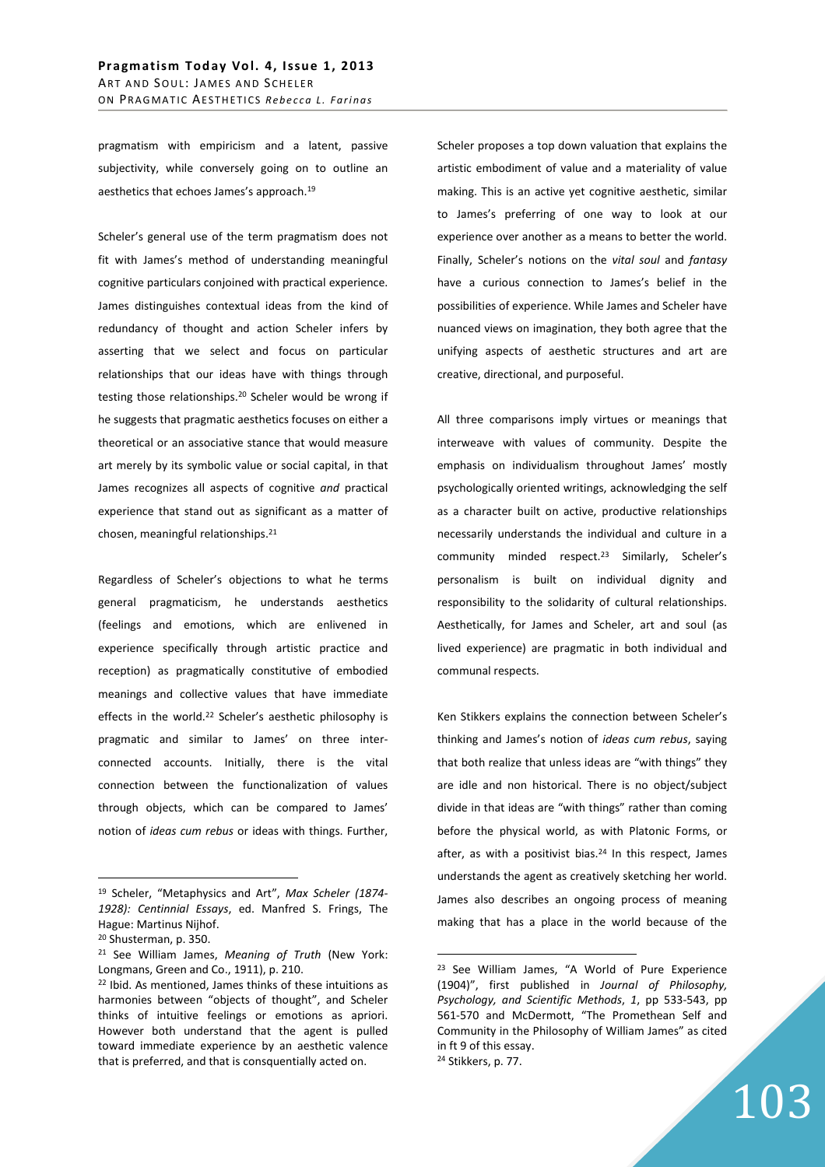pragmatism with empiricism and a latent, passive subjectivity, while conversely going on to outline an aesthetics that echoes James's approach.<sup>19</sup>

Scheler's general use of the term pragmatism does not fit with James's method of understanding meaningful cognitive particulars conjoined with practical experience. James distinguishes contextual ideas from the kind of redundancy of thought and action Scheler infers by asserting that we select and focus on particular relationships that our ideas have with things through testing those relationships.<sup>20</sup> Scheler would be wrong if he suggests that pragmatic aesthetics focuses on either a theoretical or an associative stance that would measure art merely by its symbolic value or social capital, in that James recognizes all aspects of cognitive *and* practical experience that stand out as significant as a matter of chosen, meaningful relationships.<sup>21</sup>

Regardless of Scheler's objections to what he terms general pragmaticism, he understands aesthetics (feelings and emotions, which are enlivened in experience specifically through artistic practice and reception) as pragmatically constitutive of embodied meanings and collective values that have immediate effects in the world.<sup>22</sup> Scheler's aesthetic philosophy is pragmatic and similar to James' on three interconnected accounts. Initially, there is the vital connection between the functionalization of values through objects, which can be compared to James' notion of *ideas cum rebus* or ideas with things. Further,

 $\overline{a}$ 

Scheler proposes a top down valuation that explains the artistic embodiment of value and a materiality of value making. This is an active yet cognitive aesthetic, similar to James's preferring of one way to look at our experience over another as a means to better the world. Finally, Scheler's notions on the *vital soul* and *fantasy* have a curious connection to James's belief in the possibilities of experience. While James and Scheler have nuanced views on imagination, they both agree that the unifying aspects of aesthetic structures and art are creative, directional, and purposeful.

All three comparisons imply virtues or meanings that interweave with values of community. Despite the emphasis on individualism throughout James' mostly psychologically oriented writings, acknowledging the self as a character built on active, productive relationships necessarily understands the individual and culture in a community minded respect.<sup>23</sup> Similarly, Scheler's personalism is built on individual dignity and responsibility to the solidarity of cultural relationships. Aesthetically, for James and Scheler, art and soul (as lived experience) are pragmatic in both individual and communal respects.

Ken Stikkers explains the connection between Scheler's thinking and James's notion of *ideas cum rebus*, saying that both realize that unless ideas are "with things" they are idle and non historical. There is no object/subject divide in that ideas are "with things" rather than coming before the physical world, as with Platonic Forms, or after, as with a positivist bias. $24$  In this respect, James understands the agent as creatively sketching her world. James also describes an ongoing process of meaning making that has a place in the world because of the

 $\overline{a}$ 

103

<sup>19</sup> Scheler, "Metaphysics and Art", *Max Scheler (1874- 1928): Centinnial Essays*, ed. Manfred S. Frings, The Hague: Martinus Nijhof.

<sup>20</sup> Shusterman, p. 350.

<sup>21</sup> See William James, *Meaning of Truth* (New York: Longmans, Green and Co., 1911), p. 210.

<sup>22</sup> Ibid. As mentioned, James thinks of these intuitions as harmonies between "objects of thought", and Scheler thinks of intuitive feelings or emotions as apriori. However both understand that the agent is pulled toward immediate experience by an aesthetic valence that is preferred, and that is consquentially acted on.

<sup>23</sup> See William James, "A World of Pure Experience (1904)", first published in *Journal of Philosophy, Psychology, and Scientific Methods*, *1*, pp 533-543, pp 561-570 and McDermott, "The Promethean Self and Community in the Philosophy of William James" as cited in ft 9 of this essay. 24 Stikkers, p. 77.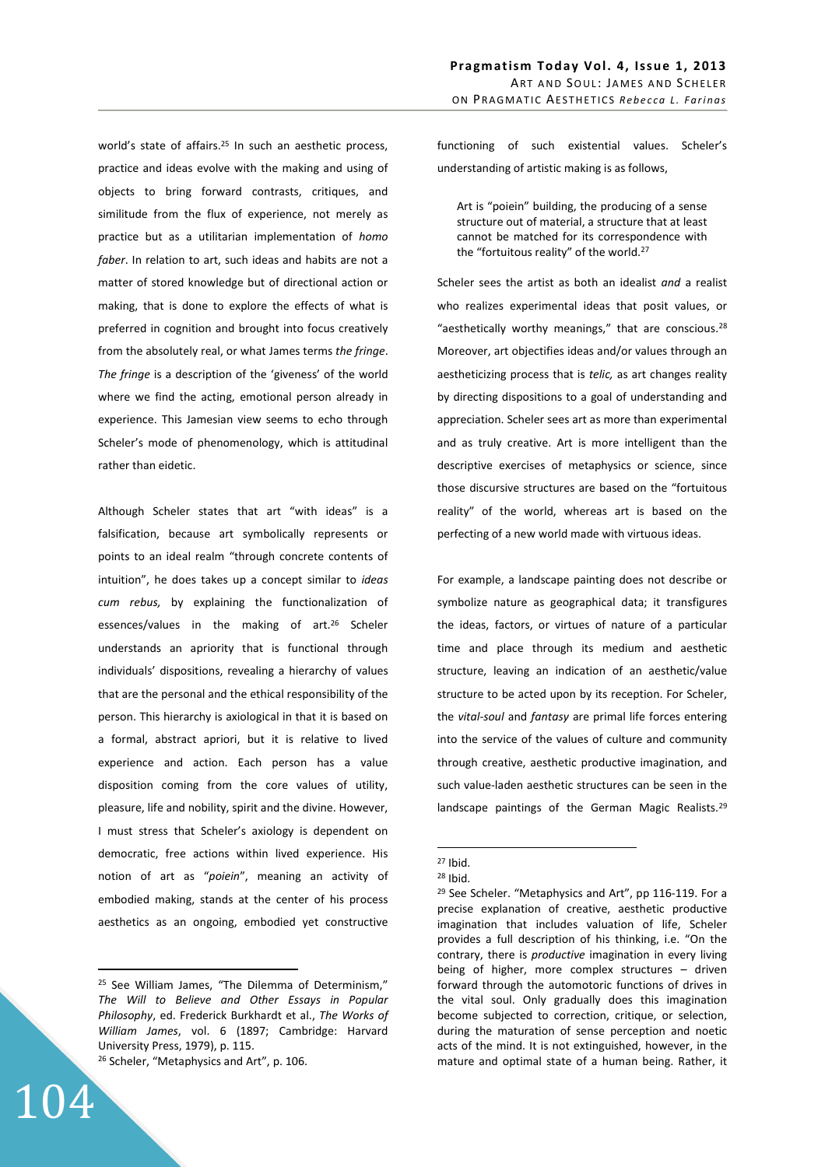world's state of affairs.<sup>25</sup> In such an aesthetic process, practice and ideas evolve with the making and using of objects to bring forward contrasts, critiques, and similitude from the flux of experience, not merely as practice but as a utilitarian implementation of *homo faber*. In relation to art, such ideas and habits are not a matter of stored knowledge but of directional action or making, that is done to explore the effects of what is preferred in cognition and brought into focus creatively from the absolutely real, or what James terms *the fringe*. *The fringe* is a description of the 'giveness' of the world where we find the acting, emotional person already in experience. This Jamesian view seems to echo through Scheler's mode of phenomenology, which is attitudinal rather than eidetic.

Although Scheler states that art "with ideas" is a falsification, because art symbolically represents or points to an ideal realm "through concrete contents of intuition", he does takes up a concept similar to *ideas cum rebus,* by explaining the functionalization of essences/values in the making of art.<sup>26</sup> Scheler understands an apriority that is functional through individuals' dispositions, revealing a hierarchy of values that are the personal and the ethical responsibility of the person. This hierarchy is axiological in that it is based on a formal, abstract apriori, but it is relative to lived experience and action. Each person has a value disposition coming from the core values of utility, pleasure, life and nobility, spirit and the divine. However, I must stress that Scheler's axiology is dependent on democratic, free actions within lived experience. His notion of art as "*poiein*", meaning an activity of embodied making, stands at the center of his process aesthetics as an ongoing, embodied yet constructive

<sup>25</sup> See William James, "The Dilemma of Determinism," *The Will to Believe and Other Essays in Popular Philosophy*, ed. Frederick Burkhardt et al., *The Works of William James*, vol. 6 (1897; Cambridge: Harvard University Press, 1979), p. 115. <sup>26</sup> Scheler, "Metaphysics and Art", p. 106.

104

 $\overline{a}$ 

Pragmatism Today Vol. 4, Issue 1, 2013 ART AND SOUL: JAMES AND SCHELER ON PRAGMATIC AESTHETICS Rebecca L. Farinas

functioning of such existential values. Scheler's understanding of artistic making is as follows,

Art is "poiein" building, the producing of a sense structure out of material, a structure that at least cannot be matched for its correspondence with the "fortuitous reality" of the world.<sup>27</sup>

Scheler sees the artist as both an idealist *and* a realist who realizes experimental ideas that posit values, or "aesthetically worthy meanings," that are conscious.<sup>28</sup> Moreover, art objectifies ideas and/or values through an aestheticizing process that is *telic,* as art changes reality by directing dispositions to a goal of understanding and appreciation. Scheler sees art as more than experimental and as truly creative. Art is more intelligent than the descriptive exercises of metaphysics or science, since those discursive structures are based on the "fortuitous reality" of the world, whereas art is based on the perfecting of a new world made with virtuous ideas.

For example, a landscape painting does not describe or symbolize nature as geographical data; it transfigures the ideas, factors, or virtues of nature of a particular time and place through its medium and aesthetic structure, leaving an indication of an aesthetic/value structure to be acted upon by its reception. For Scheler, the *vital-soul* and *fantasy* are primal life forces entering into the service of the values of culture and community through creative, aesthetic productive imagination, and such value-laden aesthetic structures can be seen in the landscape paintings of the German Magic Realists.<sup>29</sup>

<sup>27</sup> Ibid.

<sup>28</sup> Ibid.

<sup>&</sup>lt;sup>29</sup> See Scheler. "Metaphysics and Art", pp 116-119. For a precise explanation of creative, aesthetic productive imagination that includes valuation of life, Scheler provides a full description of his thinking, i.e. "On the contrary, there is *productive* imagination in every living being of higher, more complex structures – driven forward through the automotoric functions of drives in the vital soul. Only gradually does this imagination become subjected to correction, critique, or selection, during the maturation of sense perception and noetic acts of the mind. It is not extinguished, however, in the mature and optimal state of a human being. Rather, it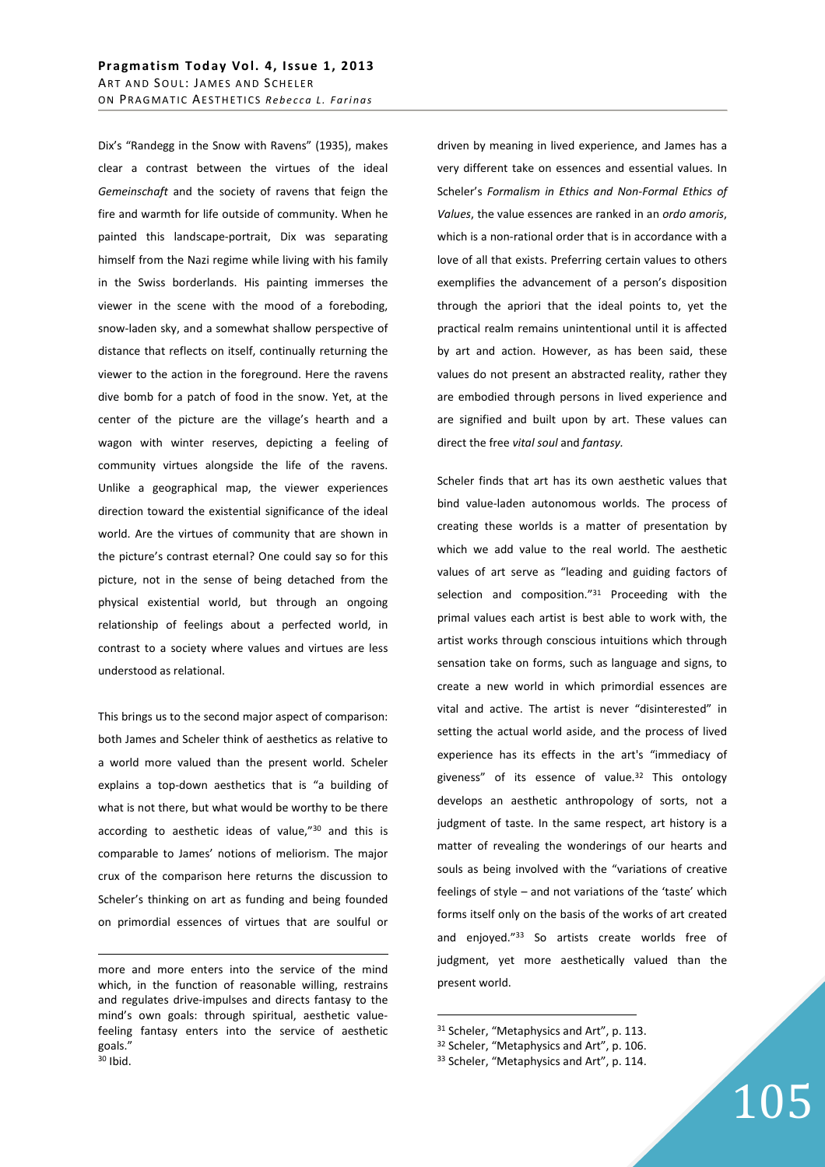Dix's "Randegg in the Snow with Ravens" (1935), makes clear a contrast between the virtues of the ideal *Gemeinschaft* and the society of ravens that feign the fire and warmth for life outside of community. When he painted this landscape-portrait, Dix was separating himself from the Nazi regime while living with his family in the Swiss borderlands. His painting immerses the viewer in the scene with the mood of a foreboding, snow-laden sky, and a somewhat shallow perspective of distance that reflects on itself, continually returning the viewer to the action in the foreground. Here the ravens dive bomb for a patch of food in the snow. Yet, at the center of the picture are the village's hearth and a wagon with winter reserves, depicting a feeling of community virtues alongside the life of the ravens. Unlike a geographical map, the viewer experiences direction toward the existential significance of the ideal world. Are the virtues of community that are shown in the picture's contrast eternal? One could say so for this picture, not in the sense of being detached from the physical existential world, but through an ongoing relationship of feelings about a perfected world, in contrast to a society where values and virtues are less understood as relational.

This brings us to the second major aspect of comparison: both James and Scheler think of aesthetics as relative to a world more valued than the present world. Scheler explains a top-down aesthetics that is "a building of what is not there, but what would be worthy to be there according to aesthetic ideas of value,"<sup>30</sup> and this is comparable to James' notions of meliorism. The major crux of the comparison here returns the discussion to Scheler's thinking on art as funding and being founded on primordial essences of virtues that are soulful or

<u>.</u>

driven by meaning in lived experience, and James has a very different take on essences and essential values. In Scheler's *Formalism in Ethics and Non-Formal Ethics of Values*, the value essences are ranked in an *ordo amoris*, which is a non-rational order that is in accordance with a love of all that exists. Preferring certain values to others exemplifies the advancement of a person's disposition through the apriori that the ideal points to, yet the practical realm remains unintentional until it is affected by art and action. However, as has been said, these values do not present an abstracted reality, rather they are embodied through persons in lived experience and are signified and built upon by art. These values can direct the free *vital soul* and *fantasy.*

Scheler finds that art has its own aesthetic values that bind value-laden autonomous worlds. The process of creating these worlds is a matter of presentation by which we add value to the real world. The aesthetic values of art serve as "leading and guiding factors of selection and composition."<sup>31</sup> Proceeding with the primal values each artist is best able to work with, the artist works through conscious intuitions which through sensation take on forms, such as language and signs, to create a new world in which primordial essences are vital and active. The artist is never "disinterested" in setting the actual world aside, and the process of lived experience has its effects in the art's "immediacy of giveness" of its essence of value.<sup>32</sup> This ontology develops an aesthetic anthropology of sorts, not a judgment of taste. In the same respect, art history is a matter of revealing the wonderings of our hearts and souls as being involved with the "variations of creative feelings of style – and not variations of the 'taste' which forms itself only on the basis of the works of art created and enjoyed."<sup>33</sup> So artists create worlds free of judgment, yet more aesthetically valued than the present world.

<sup>31</sup> Scheler, "Metaphysics and Art", p. 113. 32 Scheler, "Metaphysics and Art", p. 106. 33 Scheler, "Metaphysics and Art", p. 114.

more and more enters into the service of the mind which, in the function of reasonable willing, restrains and regulates drive-impulses and directs fantasy to the mind's own goals: through spiritual, aesthetic valuefeeling fantasy enters into the service of aesthetic goals." <sup>30</sup> Ibid.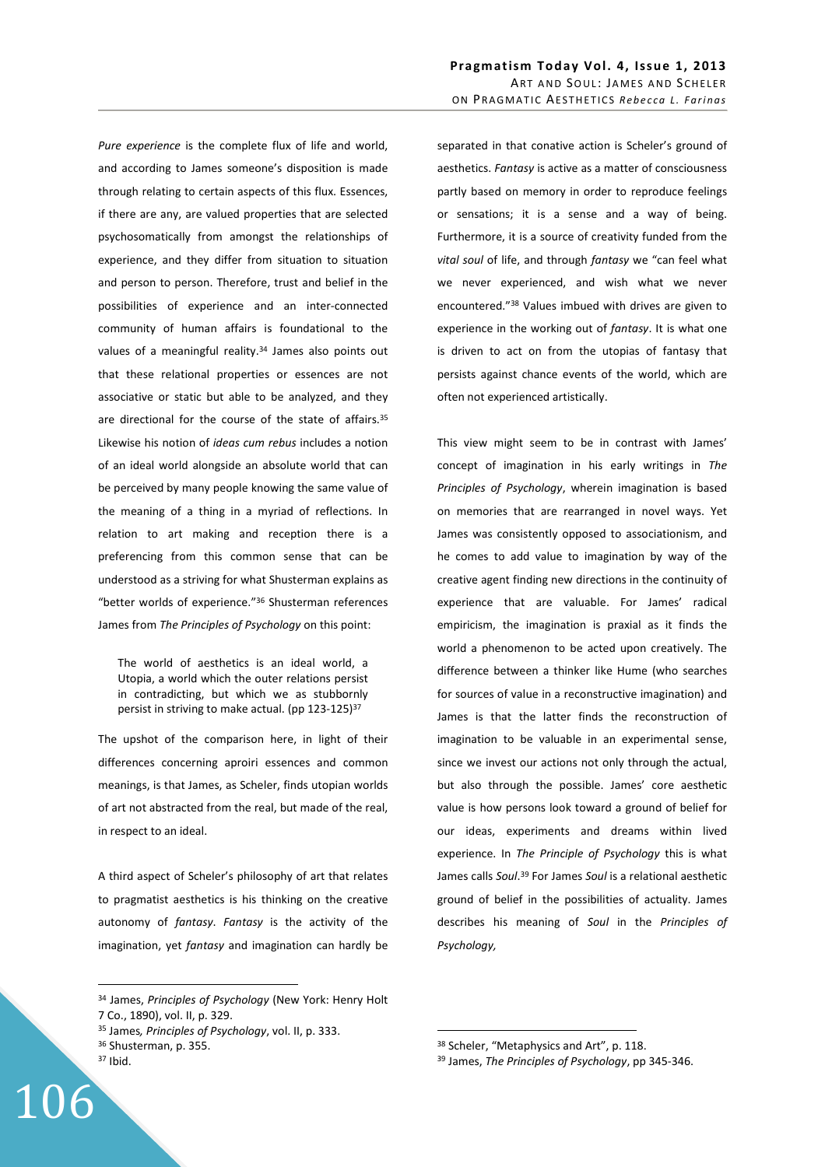*Pure experience* is the complete flux of life and world, and according to James someone's disposition is made through relating to certain aspects of this flux. Essences, if there are any, are valued properties that are selected psychosomatically from amongst the relationships of experience, and they differ from situation to situation and person to person. Therefore, trust and belief in the possibilities of experience and an inter-connected community of human affairs is foundational to the values of a meaningful reality.<sup>34</sup> James also points out that these relational properties or essences are not associative or static but able to be analyzed, and they are directional for the course of the state of affairs.<sup>35</sup> Likewise his notion of *ideas cum rebus* includes a notion of an ideal world alongside an absolute world that can be perceived by many people knowing the same value of the meaning of a thing in a myriad of reflections. In relation to art making and reception there is a preferencing from this common sense that can be understood as a striving for what Shusterman explains as "better worlds of experience."<sup>36</sup> Shusterman references James from *The Principles of Psychology* on this point:

The world of aesthetics is an ideal world, a Utopia, a world which the outer relations persist in contradicting, but which we as stubbornly persist in striving to make actual. (pp 123-125)<sup>37</sup>

The upshot of the comparison here, in light of their differences concerning aproiri essences and common meanings, is that James, as Scheler, finds utopian worlds of art not abstracted from the real, but made of the real, in respect to an ideal.

A third aspect of Scheler's philosophy of art that relates to pragmatist aesthetics is his thinking on the creative autonomy of *fantasy*. *Fantasy* is the activity of the imagination, yet *fantasy* and imagination can hardly be

 $\overline{a}$ 

106

separated in that conative action is Scheler's ground of aesthetics. *Fantasy* is active as a matter of consciousness partly based on memory in order to reproduce feelings or sensations; it is a sense and a way of being. Furthermore, it is a source of creativity funded from the *vital soul* of life, and through *fantasy* we "can feel what we never experienced, and wish what we never encountered."<sup>38</sup> Values imbued with drives are given to experience in the working out of *fantasy*. It is what one is driven to act on from the utopias of fantasy that persists against chance events of the world, which are often not experienced artistically.

This view might seem to be in contrast with James' concept of imagination in his early writings in *The Principles of Psychology*, wherein imagination is based on memories that are rearranged in novel ways. Yet James was consistently opposed to associationism, and he comes to add value to imagination by way of the creative agent finding new directions in the continuity of experience that are valuable. For James' radical empiricism, the imagination is praxial as it finds the world a phenomenon to be acted upon creatively. The difference between a thinker like Hume (who searches for sources of value in a reconstructive imagination) and James is that the latter finds the reconstruction of imagination to be valuable in an experimental sense, since we invest our actions not only through the actual, but also through the possible. James' core aesthetic value is how persons look toward a ground of belief for our ideas, experiments and dreams within lived experience. In *The Principle of Psychology* this is what James calls *Soul*. <sup>39</sup> For James *Soul* is a relational aesthetic ground of belief in the possibilities of actuality. James describes his meaning of *Soul* in the *Principles of Psychology,*

<sup>34</sup> James, *Principles of Psychology* (New York: Henry Holt 7 Co., 1890), vol. II, p. 329.

<sup>35</sup> James*, Principles of Psychology*, vol. II, p. 333.

<sup>36</sup> Shusterman, p. 355.

<sup>37</sup> Ibid.

<sup>38</sup> Scheler, "Metaphysics and Art", p. 118.

<sup>39</sup> James, *The Principles of Psychology*, pp 345-346.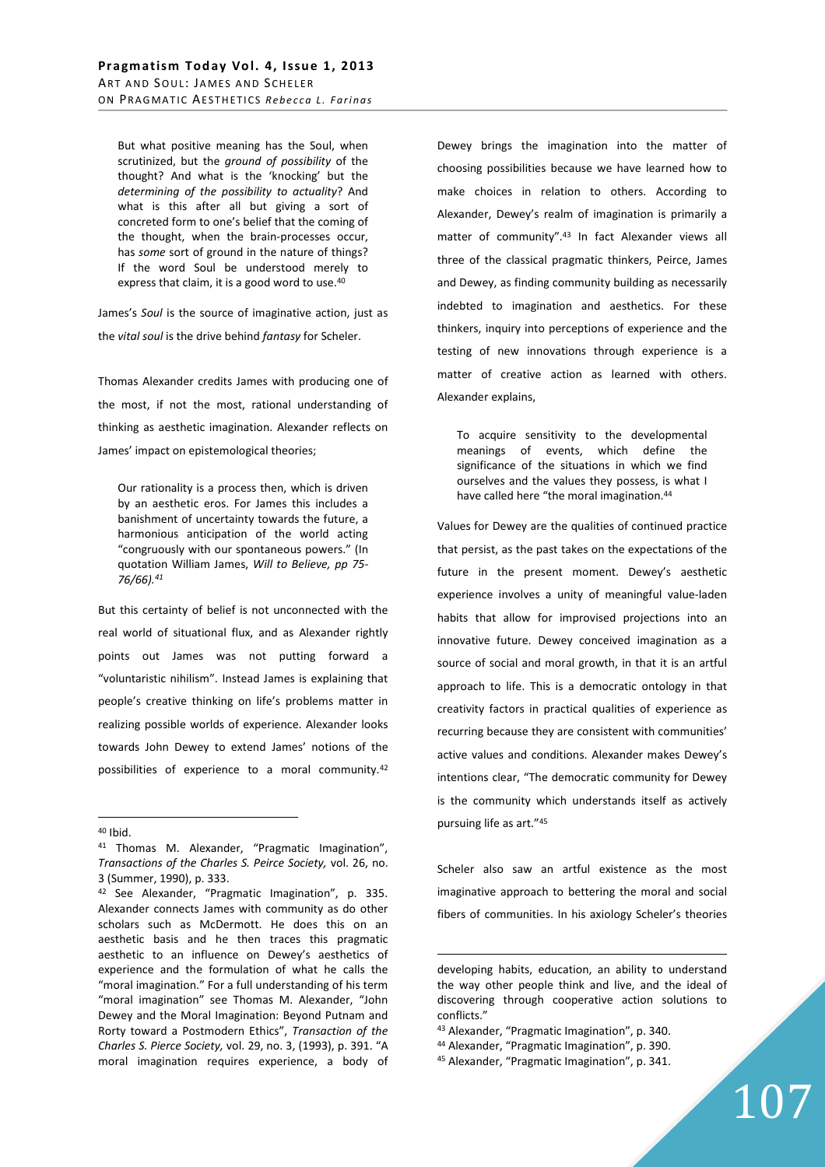But what positive meaning has the Soul, when scrutinized, but the *ground of possibility* of the thought? And what is the 'knocking' but the *determining of the possibility to actuality*? And what is this after all but giving a sort of concreted form to one's belief that the coming of the thought, when the brain-processes occur, has *some* sort of ground in the nature of things? If the word Soul be understood merely to express that claim, it is a good word to use.<sup>40</sup>

James's *Soul* is the source of imaginative action, just as the *vital soul* is the drive behind *fantasy* for Scheler.

Thomas Alexander credits James with producing one of the most, if not the most, rational understanding of thinking as aesthetic imagination. Alexander reflects on James' impact on epistemological theories;

Our rationality is a process then, which is driven by an aesthetic eros. For James this includes a banishment of uncertainty towards the future, a harmonious anticipation of the world acting "congruously with our spontaneous powers." (In quotation William James, *Will to Believe, pp 75- 76/66).<sup>41</sup>*

But this certainty of belief is not unconnected with the real world of situational flux, and as Alexander rightly points out James was not putting forward a "voluntaristic nihilism". Instead James is explaining that people's creative thinking on life's problems matter in realizing possible worlds of experience. Alexander looks towards John Dewey to extend James' notions of the possibilities of experience to a moral community.<sup>42</sup>

 $\overline{a}$ 

Dewey brings the imagination into the matter of choosing possibilities because we have learned how to make choices in relation to others. According to Alexander, Dewey's realm of imagination is primarily a matter of community".<sup>43</sup> In fact Alexander views all three of the classical pragmatic thinkers, Peirce, James and Dewey, as finding community building as necessarily indebted to imagination and aesthetics. For these thinkers, inquiry into perceptions of experience and the testing of new innovations through experience is a matter of creative action as learned with others. Alexander explains,

To acquire sensitivity to the developmental meanings of events, which define the significance of the situations in which we find ourselves and the values they possess, is what I have called here "the moral imagination.<sup>44</sup>

Values for Dewey are the qualities of continued practice that persist, as the past takes on the expectations of the future in the present moment. Dewey's aesthetic experience involves a unity of meaningful value-laden habits that allow for improvised projections into an innovative future. Dewey conceived imagination as a source of social and moral growth, in that it is an artful approach to life. This is a democratic ontology in that creativity factors in practical qualities of experience as recurring because they are consistent with communities' active values and conditions. Alexander makes Dewey's intentions clear, "The democratic community for Dewey is the community which understands itself as actively pursuing life as art."<sup>45</sup>

Scheler also saw an artful existence as the most imaginative approach to bettering the moral and social fibers of communities. In his axiology Scheler's theories

<sup>40</sup> Ibid.

<sup>41</sup> Thomas M. Alexander, "Pragmatic Imagination", *Transactions of the Charles S. Peirce Society,* vol. 26, no. 3 (Summer, 1990), p. 333.

<sup>42</sup> See Alexander, "Pragmatic Imagination", p. 335. Alexander connects James with community as do other scholars such as McDermott. He does this on an aesthetic basis and he then traces this pragmatic aesthetic to an influence on Dewey's aesthetics of experience and the formulation of what he calls the "moral imagination." For a full understanding of his term "moral imagination" see Thomas M. Alexander, "John Dewey and the Moral Imagination: Beyond Putnam and Rorty toward a Postmodern Ethics", *Transaction of the Charles S. Pierce Society,* vol. 29, no. 3, (1993), p. 391. "A moral imagination requires experience, a body of

developing habits, education, an ability to understand the way other people think and live, and the ideal of discovering through cooperative action solutions to conflicts."

<sup>43</sup> Alexander, "Pragmatic Imagination", p. 340.

<sup>44</sup> Alexander, "Pragmatic Imagination", p. 390.

<sup>45</sup> Alexander, "Pragmatic Imagination", p. 341.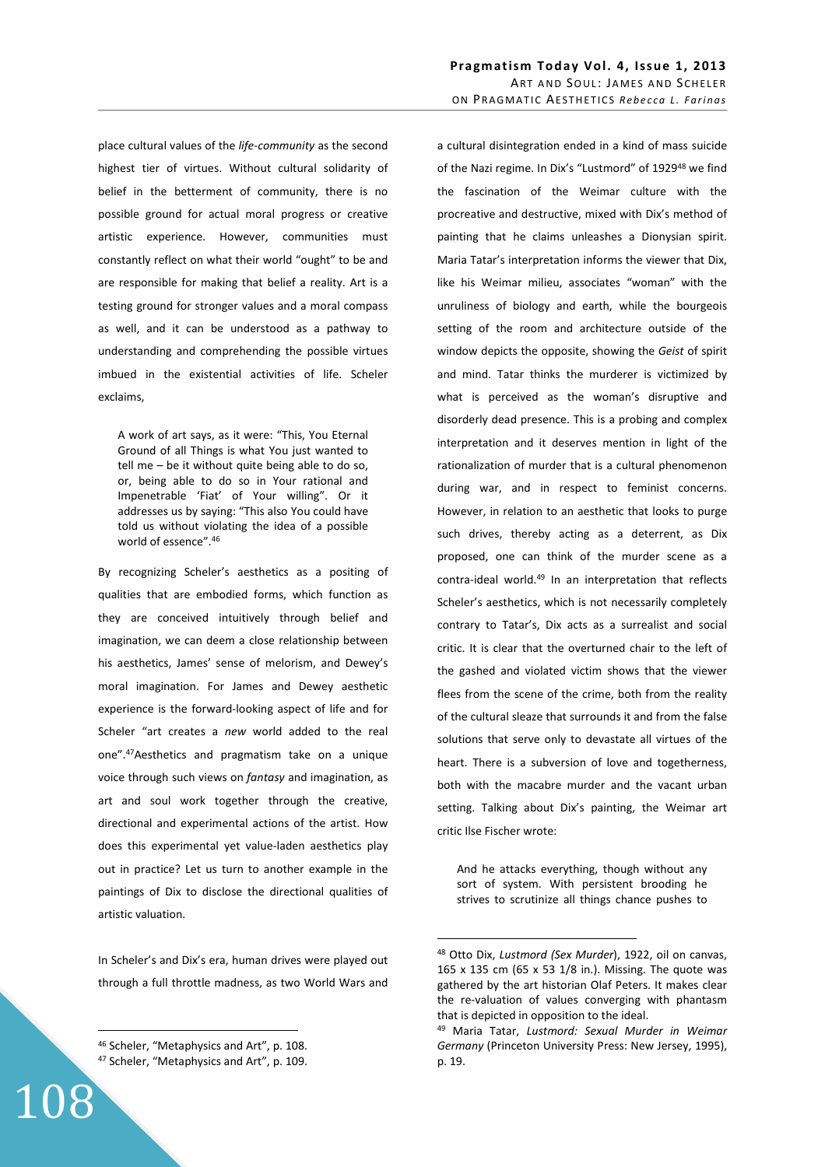place cultural values of the *life-community* as the second highest tier of virtues. Without cultural solidarity of belief in the betterment of community, there is no possible ground for actual moral progress or creative artistic experience. However, communities must constantly reflect on what their world "ought" to be and are responsible for making that belief a reality. Art is a testing ground for stronger values and a moral compass as well, and it can be understood as a pathway to understanding and comprehending the possible virtues imbued in the existential activities of life. Scheler exclaims,

A work of art says, as it were: "This, You Eternal Ground of all Things is what You just wanted to tell me – be it without quite being able to do so, or, being able to do so in Your rational and Impenetrable 'Fiat' of Your willing". Or it addresses us by saying: "This also You could have told us without violating the idea of a possible world of essence".<sup>46</sup>

By recognizing Scheler's aesthetics as a positing of qualities that are embodied forms, which function as they are conceived intuitively through belief and imagination, we can deem a close relationship between his aesthetics, James' sense of melorism, and Dewey's moral imagination. For James and Dewey aesthetic experience is the forward-looking aspect of life and for Scheler "art creates a *new* world added to the real one".<sup>47</sup>Aesthetics and pragmatism take on a unique voice through such views on *fantasy* and imagination, as art and soul work together through the creative, directional and experimental actions of the artist. How does this experimental yet value-laden aesthetics play out in practice? Let us turn to another example in the paintings of Dix to disclose the directional qualities of artistic valuation.

In Scheler's and Dix's era, human drives were played out through a full throttle madness, as two World Wars and

 $\overline{a}$ 

a cultural disintegration ended in a kind of mass suicide of the Nazi regime. In Dix's "Lustmord" of 1929<sup>48</sup> we find the fascination of the Weimar culture with the procreative and destructive, mixed with Dix's method of painting that he claims unleashes a Dionysian spirit. Maria Tatar's interpretation informs the viewer that Dix, like his Weimar milieu, associates "woman" with the unruliness of biology and earth, while the bourgeois setting of the room and architecture outside of the window depicts the opposite, showing the *Geist* of spirit and mind. Tatar thinks the murderer is victimized by what is perceived as the woman's disruptive and disorderly dead presence. This is a probing and complex interpretation and it deserves mention in light of the rationalization of murder that is a cultural phenomenon during war, and in respect to feminist concerns. However, in relation to an aesthetic that looks to purge such drives, thereby acting as a deterrent, as Dix proposed, one can think of the murder scene as a contra-ideal world.<sup>49</sup> In an interpretation that reflects Scheler's aesthetics, which is not necessarily completely contrary to Tatar's, Dix acts as a surrealist and social critic. It is clear that the overturned chair to the left of the gashed and violated victim shows that the viewer flees from the scene of the crime, both from the reality of the cultural sleaze that surrounds it and from the false solutions that serve only to devastate all virtues of the heart. There is a subversion of love and togetherness, both with the macabre murder and the vacant urban setting. Talking about Dix's painting, the Weimar art critic Ilse Fischer wrote:

And he attacks everything, though without any sort of system. With persistent brooding he strives to scrutinize all things chance pushes to

<sup>46</sup> Scheler, "Metaphysics and Art", p. 108.

<sup>108</sup> <sup>47</sup> Scheler, "Metaphysics and Art", p. 109.

<sup>48</sup> Otto Dix, *Lustmord (Sex Murder*), 1922, oil on canvas, 165 x 135 cm (65 x 53 1/8 in.). Missing. The quote was gathered by the art historian Olaf Peters. It makes clear the re-valuation of values converging with phantasm that is depicted in opposition to the ideal.

<sup>49</sup> Maria Tatar, *Lustmord: Sexual Murder in Weimar Germany* (Princeton University Press: New Jersey, 1995), p. 19.